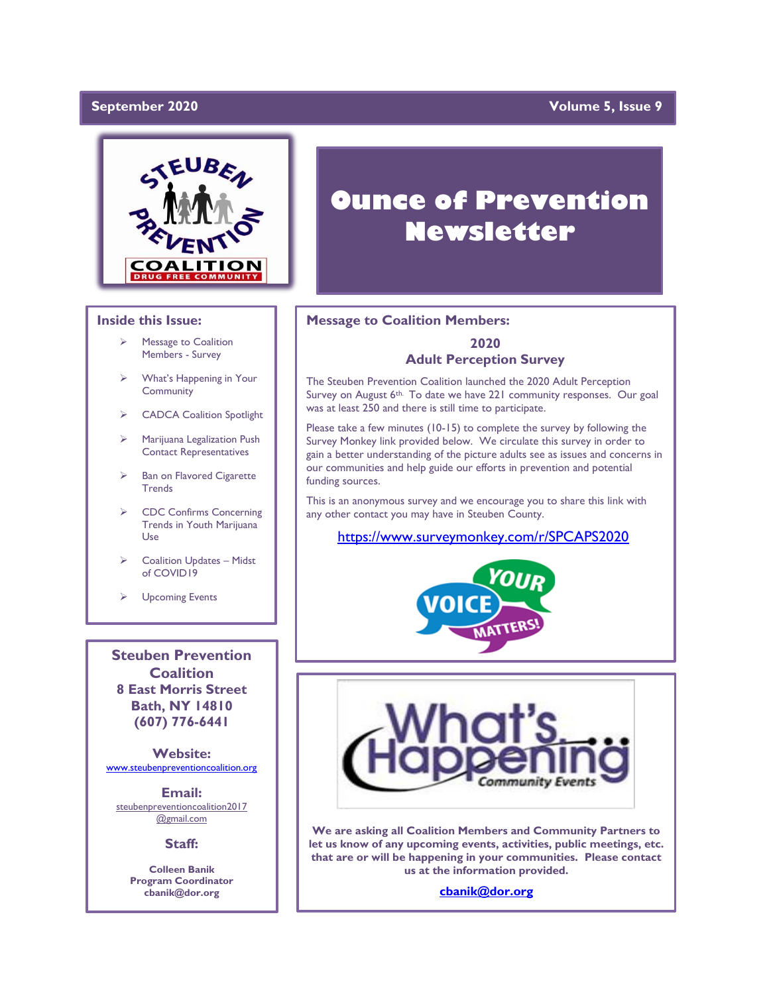#### September 2020

### **Yolume 5, Issue 9**



#### **Inside this Issue:**

- ➢ Message to Coalition Members - Survey
- ➢ What's Happening in Your **Community**
- ➢ CADCA Coalition Spotlight
- ➢ Marijuana Legalization Push Contact Representatives
- Ban on Flavored Cigarette **Trends**
- ➢ CDC Confirms Concerning Trends in Youth Marijuana Use
- ➢ Coalition Updates Midst of COVID19
- ➢ Upcoming Events

**Steuben Prevention Coalition 8 East Morris Street Bath, NY 14810 (607) 776-6441**

**Website:**  [www.steubenpreventioncoalition.org](http://www.steubenpreventioncoalition.org/)

**Email:**  steubenpreventioncoalition2017 @gmail.com

**Staff:**

**Colleen Banik Program Coordinator cbanik@dor.org**

# **Ounce of Prevention Newsletter**

#### **Message to Coalition Members:**

### **2020 Adult Perception Survey**

The Steuben Prevention Coalition launched the 2020 Adult Perception Survey on August 6<sup>th.</sup> To date we have 221 community responses. Our goal was at least 250 and there is still time to participate.

Please take a few minutes (10-15) to complete the survey by following the Survey Monkey link provided below. We circulate this survey in order to gain a better understanding of the picture adults see as issues and concerns in our communities and help guide our efforts in prevention and potential funding sources.

This is an anonymous survey and we encourage you to share this link with any other contact you may have in Steuben County.

#### <https://www.surveymonkey.com/r/SPCAPS2020>





**We are asking all Coalition Members and Community Partners to let us know of any upcoming events, activities, public meetings, etc. that are or will be happening in your communities. Please contact us at the information provided.**

**[cbanik@dor.org](mailto:cbanik@dor.org)**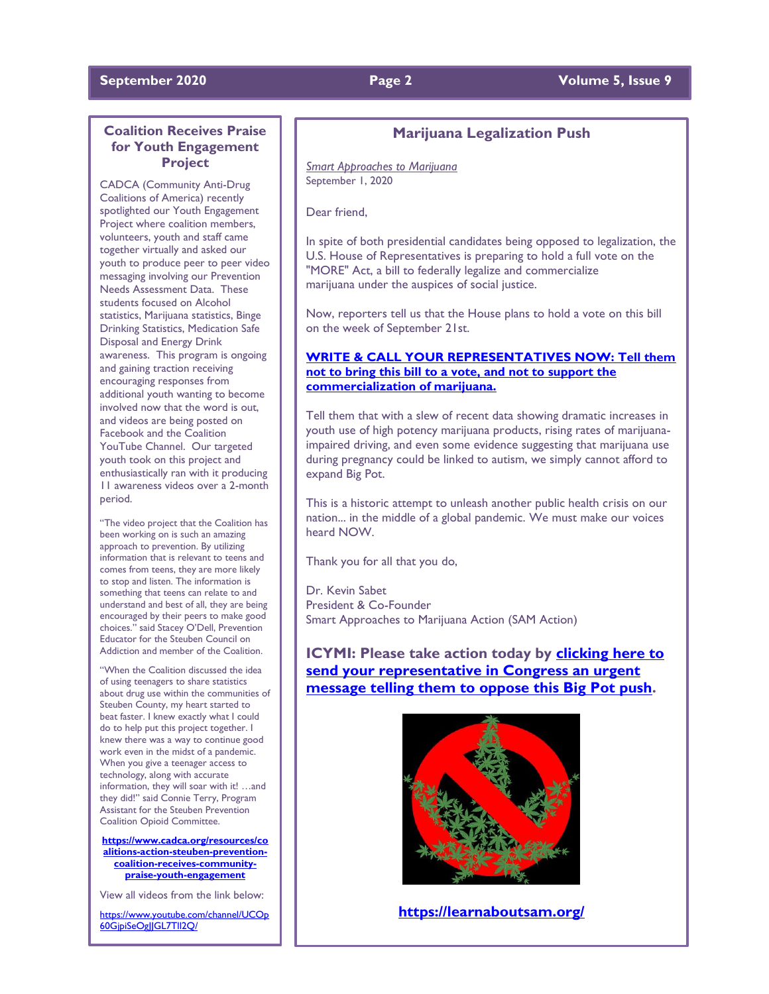#### **September 2020 Page 2 Volume 5, Issue 9**

### **Coalition Receives Praise for Youth Engagement Project**

CADCA (Community Anti-Drug Coalitions of America) recently spotlighted our Youth Engagement Project where coalition members, volunteers, youth and staff came together virtually and asked our youth to produce peer to peer video messaging involving our Prevention Needs Assessment Data. These students focused on Alcohol statistics, Marijuana statistics, Binge Drinking Statistics, Medication Safe Disposal and Energy Drink awareness. This program is ongoing and gaining traction receiving encouraging responses from additional youth wanting to become involved now that the word is out, and videos are being posted on Facebook and the Coalition YouTube Channel. Our targeted youth took on this project and enthusiastically ran with it producing 11 awareness videos over a 2-month period.

"The video project that the Coalition has been working on is such an amazing approach to prevention. By utilizing information that is relevant to teens and comes from teens, they are more likely to stop and listen. The information is something that teens can relate to and understand and best of all, they are being encouraged by their peers to make good choices." said Stacey O'Dell, Prevention Educator for the Steuben Council on Addiction and member of the Coalition.

When the Coalition discussed the idea of using teenagers to share statistics about drug use within the communities of Steuben County, my heart started to beat faster. I knew exactly what I could do to help put this project together. I knew there was a way to continue good work even in the midst of a pandemic. When you give a teenager access to technology, along with accurate information, they will soar with it! …and they did!" said Connie Terry, Program Assistant for the Steuben Prevention Coalition Opioid Committee.

**[https://www.cadca.org/resources/co](https://www.cadca.org/resources/coalitions-action-steuben-prevention-coalition-receives-community-praise-youth-engagement) [alitions-action-steuben-prevention](https://www.cadca.org/resources/coalitions-action-steuben-prevention-coalition-receives-community-praise-youth-engagement)[coalition-receives-community](https://www.cadca.org/resources/coalitions-action-steuben-prevention-coalition-receives-community-praise-youth-engagement)[praise-youth-engagement](https://www.cadca.org/resources/coalitions-action-steuben-prevention-coalition-receives-community-praise-youth-engagement)**

View all videos from the link below:

[https://www.youtube.com/channel/UCOp](https://www.youtube.com/channel/UCOp60GjpiSeOgJJGL7Tll2Q/) 60GjpiSeOgljGL7Tll2Q/

## **Marijuana Legalization Push**

*Smart Approaches to Marijuana* September 1, 2020

Dear friend,

In spite of both presidential candidates being opposed to legalization, the U.S. House of Representatives is preparing to hold a full vote on the "MORE" Act, a bill to federally legalize and commercialize marijuana under the auspices of social justice.

Now, reporters tell us that the House plans to hold a vote on this bill on the week of September 21st.

#### **[WRITE & CALL YOUR REPRESENTATIVES NOW: Tell them](http://r20.rs6.net/tn.jsp?f=001M5MojKOBXMEbcDDmZ74TfvmNuPdiTzxfmAOfBSuicm1XZIo3dhMtxk4_meI1UkDxV4WA_Uu00Bs6mlHRtEonaDgVW7uh_GQnaK6FMmwq91_zf-6mYDz97pAk_hWuLnqF_WI9KUs8AjknuM2GtelEvszSmBqJGHPFDlWq_ZsSSp40iTXN5OFbXW_oqni_oRmuLdAr7-wKvcQ0vxps85ncIeypIYfLNh1GvrhklqXU7AQMH4KH55fjlA==&c=neyYXEx1-xWOzA5KuMKayRi3ZF5JnRi2VCd8qqHr-J7Ofos91rQXCQ==&ch=g1u00-YqGm-AB43cIVCHRKSImlVWpb7KZ_Qvw2pA58DmWFe2Vgz-4A==)  [not to bring this bill to a vote, and not to support the](http://r20.rs6.net/tn.jsp?f=001M5MojKOBXMEbcDDmZ74TfvmNuPdiTzxfmAOfBSuicm1XZIo3dhMtxk4_meI1UkDxV4WA_Uu00Bs6mlHRtEonaDgVW7uh_GQnaK6FMmwq91_zf-6mYDz97pAk_hWuLnqF_WI9KUs8AjknuM2GtelEvszSmBqJGHPFDlWq_ZsSSp40iTXN5OFbXW_oqni_oRmuLdAr7-wKvcQ0vxps85ncIeypIYfLNh1GvrhklqXU7AQMH4KH55fjlA==&c=neyYXEx1-xWOzA5KuMKayRi3ZF5JnRi2VCd8qqHr-J7Ofos91rQXCQ==&ch=g1u00-YqGm-AB43cIVCHRKSImlVWpb7KZ_Qvw2pA58DmWFe2Vgz-4A==)  [commercialization of marijuana.](http://r20.rs6.net/tn.jsp?f=001M5MojKOBXMEbcDDmZ74TfvmNuPdiTzxfmAOfBSuicm1XZIo3dhMtxk4_meI1UkDxV4WA_Uu00Bs6mlHRtEonaDgVW7uh_GQnaK6FMmwq91_zf-6mYDz97pAk_hWuLnqF_WI9KUs8AjknuM2GtelEvszSmBqJGHPFDlWq_ZsSSp40iTXN5OFbXW_oqni_oRmuLdAr7-wKvcQ0vxps85ncIeypIYfLNh1GvrhklqXU7AQMH4KH55fjlA==&c=neyYXEx1-xWOzA5KuMKayRi3ZF5JnRi2VCd8qqHr-J7Ofos91rQXCQ==&ch=g1u00-YqGm-AB43cIVCHRKSImlVWpb7KZ_Qvw2pA58DmWFe2Vgz-4A==)**

Tell them that with a slew of recent data showing dramatic increases in youth use of high potency marijuana products, rising rates of marijuanaimpaired driving, and even some evidence suggesting that marijuana use during pregnancy could be linked to autism, we simply cannot afford to expand Big Pot.

This is a historic attempt to unleash another public health crisis on our nation... in the middle of a global pandemic. We must make our voices heard NOW.

Thank you for all that you do,

Dr. Kevin Sabet President & Co-Founder Smart Approaches to Marijuana Action (SAM Action)

**ICYMI: Please take action today by [clicking here to](http://r20.rs6.net/tn.jsp?f=001M5MojKOBXMEbcDDmZ74TfvmNuPdiTzxfmAOfBSuicm1XZIo3dhMtxk4_meI1UkDxV4WA_Uu00Bs6mlHRtEonaDgVW7uh_GQnaK6FMmwq91_zf-6mYDz97pAk_hWuLnqF_WI9KUs8AjknuM2GtelEvszSmBqJGHPFDlWq_ZsSSp40iTXN5OFbXW_oqni_oRmuLdAr7-wKvcQ0vxps85ncIeypIYfLNh1GvrhklqXU7AQMH4KH55fjlA==&c=neyYXEx1-xWOzA5KuMKayRi3ZF5JnRi2VCd8qqHr-J7Ofos91rQXCQ==&ch=g1u00-YqGm-AB43cIVCHRKSImlVWpb7KZ_Qvw2pA58DmWFe2Vgz-4A==)  [send your representative in Congress an urgent](http://r20.rs6.net/tn.jsp?f=001M5MojKOBXMEbcDDmZ74TfvmNuPdiTzxfmAOfBSuicm1XZIo3dhMtxk4_meI1UkDxV4WA_Uu00Bs6mlHRtEonaDgVW7uh_GQnaK6FMmwq91_zf-6mYDz97pAk_hWuLnqF_WI9KUs8AjknuM2GtelEvszSmBqJGHPFDlWq_ZsSSp40iTXN5OFbXW_oqni_oRmuLdAr7-wKvcQ0vxps85ncIeypIYfLNh1GvrhklqXU7AQMH4KH55fjlA==&c=neyYXEx1-xWOzA5KuMKayRi3ZF5JnRi2VCd8qqHr-J7Ofos91rQXCQ==&ch=g1u00-YqGm-AB43cIVCHRKSImlVWpb7KZ_Qvw2pA58DmWFe2Vgz-4A==)  message telling them to [oppose this Big Pot push.](http://r20.rs6.net/tn.jsp?f=001M5MojKOBXMEbcDDmZ74TfvmNuPdiTzxfmAOfBSuicm1XZIo3dhMtxk4_meI1UkDxV4WA_Uu00Bs6mlHRtEonaDgVW7uh_GQnaK6FMmwq91_zf-6mYDz97pAk_hWuLnqF_WI9KUs8AjknuM2GtelEvszSmBqJGHPFDlWq_ZsSSp40iTXN5OFbXW_oqni_oRmuLdAr7-wKvcQ0vxps85ncIeypIYfLNh1GvrhklqXU7AQMH4KH55fjlA==&c=neyYXEx1-xWOzA5KuMKayRi3ZF5JnRi2VCd8qqHr-J7Ofos91rQXCQ==&ch=g1u00-YqGm-AB43cIVCHRKSImlVWpb7KZ_Qvw2pA58DmWFe2Vgz-4A==)**



**<https://learnaboutsam.org/>**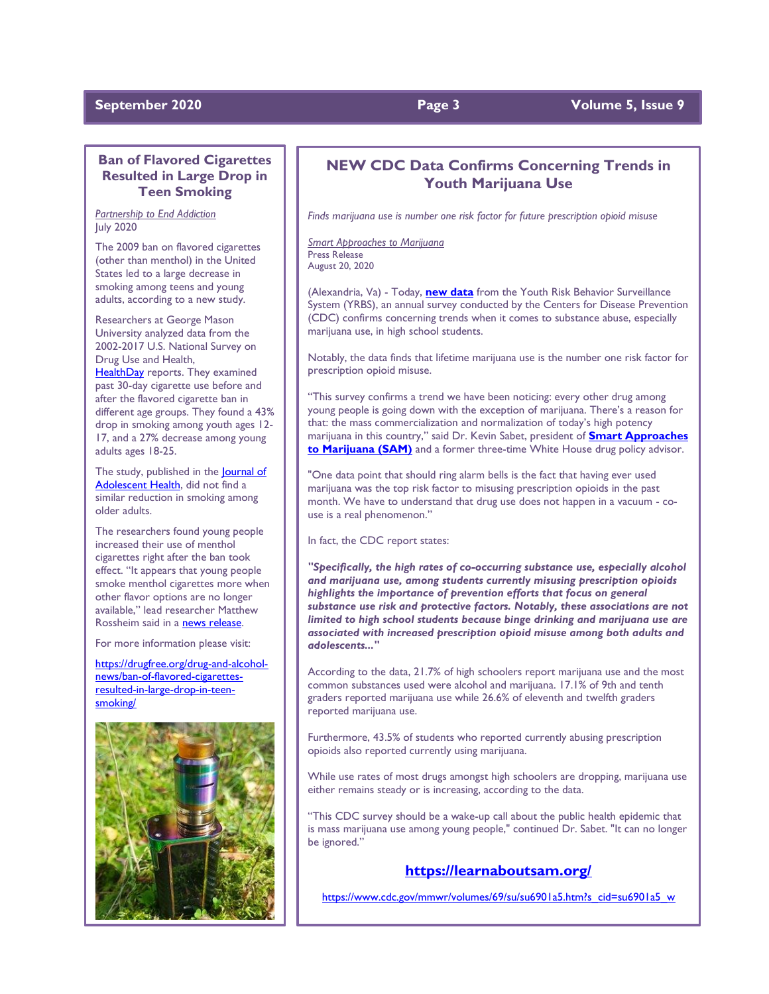#### **September 2020 Page 3 Page 3 Page 1 Volume 5, Issue 9**

### **Ban of Flavored Cigarettes Resulted in Large Drop in Teen Smoking**

*Partnership to End Addiction* July 2020

The 2009 ban on flavored cigarettes (other than menthol) in the United States led to a large decrease in smoking among teens and young adults, according to a new study.

Researchers at George Mason University analyzed data from the 2002-2017 U.S. National Survey on Drug Use and Health, [HealthDay](https://consumer.healthday.com/cancer-information-5/smoking-cessation-news-628/flavored-cigarette-ban-led-to-smoking-decline-among-young-americans-759619.html) reports. They examined past 30-day cigarette use before and after the flavored cigarette ban in different age groups. They found a 43% drop in smoking among youth ages 12- 17, and a 27% decrease among young adults ages 18-25.

The study, published in the **Journal of** [Adolescent Health,](https://www.jahonline.org/article/S1054-139X(20)30335-9/pdf) did not find a similar reduction in smoking among older adults.

The researchers found young people increased their use of menthol cigarettes right after the ban took effect. "It appears that young people smoke menthol cigarettes more when other flavor options are no longer available," lead researcher Matthew Rossheim said in a [news release.](https://medicalxpress.com/news/2020-07-flavored-cigarette-significantly-youth.html)

For more information please visit:

[https://drugfree.org/drug-and-alcohol](https://drugfree.org/drug-and-alcohol-news/ban-of-flavored-cigarettes-resulted-in-large-drop-in-teen-smoking/)[news/ban-of-flavored-cigarettes](https://drugfree.org/drug-and-alcohol-news/ban-of-flavored-cigarettes-resulted-in-large-drop-in-teen-smoking/)[resulted-in-large-drop-in-teen](https://drugfree.org/drug-and-alcohol-news/ban-of-flavored-cigarettes-resulted-in-large-drop-in-teen-smoking/)[smoking/](https://drugfree.org/drug-and-alcohol-news/ban-of-flavored-cigarettes-resulted-in-large-drop-in-teen-smoking/)



### **NEW CDC Data Confirms Concerning Trends in Youth Marijuana Use**

*Finds marijuana use is number one risk factor for future prescription opioid misuse*

*Smart Approaches to Marijuana* Press Release August 20, 2020

(Alexandria, Va) - Today, **[new data](http://r20.rs6.net/tn.jsp?f=001RM_4vKlkuq8eU5mQO2nOx4UMNcUu8YFW0GB03jz-t-AR1R43QwBtH6hkR85lqrvOLRc3G7Owid3EQdpwMkPgL15Qr0gTB5_PTj08DFqf44mdA-ehQjp4VesjovALEsfhoUSud00KRpWZHOtZvl_SAnqfQUsxevpCDUHKkCURQmbXNOnpCZKindMJkMbNT5VNk186X2cZdPWxQ9JxQm12d1LXJeuCQaQS&c=YZKr5cB8MgJpvy8Jrp7ajhROdrw9XO7U3fIZb3VRclo9rS1s_TZq5A==&ch=qYjdnW0dxgiWeZb5qORgWzqi5jpq7jGa8osU-C4eUhky0VFNCM58uQ==)** from the Youth Risk Behavior Surveillance System (YRBS), an annual survey conducted by the Centers for Disease Prevention (CDC) confirms concerning trends when it comes to substance abuse, especially marijuana use, in high school students.

Notably, the data finds that lifetime marijuana use is the number one risk factor for prescription opioid misuse.

"This survey confirms a trend we have been noticing: every other drug among young people is going down with the exception of marijuana. There's a reason for that: the mass commercialization and normalization of today's high potency marijuana in this country," said Dr. Kevin Sabet, president of **[Smart Approaches](http://r20.rs6.net/tn.jsp?f=001RM_4vKlkuq8eU5mQO2nOx4UMNcUu8YFW0GB03jz-t-AR1R43QwBtH6uy5nZumRzsj59yh3YBuBC282XB6gF89FzXORpUnrpeyRXekqPDxpdnA3J3oFY-Kf7KfUImSB6ejnROuUtIsGXrvaZVv4k82g==&c=YZKr5cB8MgJpvy8Jrp7ajhROdrw9XO7U3fIZb3VRclo9rS1s_TZq5A==&ch=qYjdnW0dxgiWeZb5qORgWzqi5jpq7jGa8osU-C4eUhky0VFNCM58uQ==)  [to Marijuana \(SAM\)](http://r20.rs6.net/tn.jsp?f=001RM_4vKlkuq8eU5mQO2nOx4UMNcUu8YFW0GB03jz-t-AR1R43QwBtH6uy5nZumRzsj59yh3YBuBC282XB6gF89FzXORpUnrpeyRXekqPDxpdnA3J3oFY-Kf7KfUImSB6ejnROuUtIsGXrvaZVv4k82g==&c=YZKr5cB8MgJpvy8Jrp7ajhROdrw9XO7U3fIZb3VRclo9rS1s_TZq5A==&ch=qYjdnW0dxgiWeZb5qORgWzqi5jpq7jGa8osU-C4eUhky0VFNCM58uQ==)** and a former three-time White House drug policy advisor.

"One data point that should ring alarm bells is the fact that having ever used marijuana was the top risk factor to misusing prescription opioids in the past month. We have to understand that drug use does not happen in a vacuum - couse is a real phenomenon."

#### In fact, the CDC report states:

*"Specifically, the high rates of co-occurring substance use, especially alcohol and marijuana use, among students currently misusing prescription opioids highlights the importance of prevention efforts that focus on general substance use risk and protective factors. Notably, these associations are not limited to high school students because binge drinking and marijuana use are associated with increased prescription opioid misuse among both adults and adolescents..."*

According to the data, 21.7% of high schoolers report marijuana use and the most common substances used were alcohol and marijuana. 17.1% of 9th and tenth graders reported marijuana use while 26.6% of eleventh and twelfth graders reported marijuana use.

Furthermore, 43.5% of students who reported currently abusing prescription opioids also reported currently using marijuana.

While use rates of most drugs amongst high schoolers are dropping, marijuana use either remains steady or is increasing, according to the data.

"This CDC survey should be a wake-up call about the public health epidemic that is mass marijuana use among young people," continued Dr. Sabet. "It can no longer be ignored."

### **<https://learnaboutsam.org/>**

[https://www.cdc.gov/mmwr/volumes/69/su/su6901a5.htm?s\\_cid=su6901a5\\_w](https://www.cdc.gov/mmwr/volumes/69/su/su6901a5.htm?s_cid=su6901a5_w)